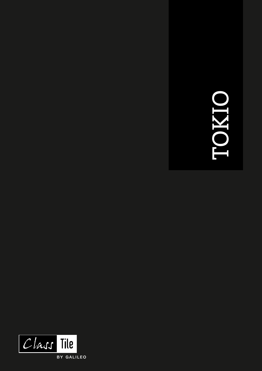# TOKIO

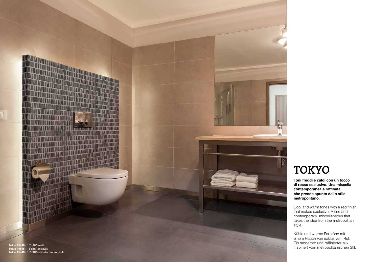

**Toni freddi e caldi con un tocco di rosso esclusivo. Una miscella contemporanea e raffinata che prende spunto dallo stile metropolitano.**

Cool and warm tones with a red finish that makes exclusive. A fine and contemporary miscellaneous that takes the idea from the metropolitan style.

Kühle und warme Farbtöne mit einem Hauch von exklusivem Rot. Ein moderner und raffinierter Mix, inspiriert vom metropolitanischen Stil.

# TOKYO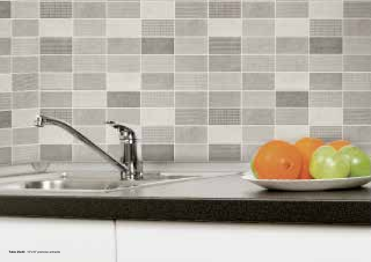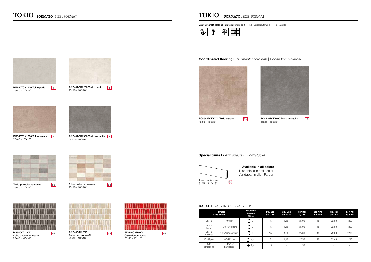BI2540TOK1100 Tokio perla 25x40 - 10"x16"



BI2540CAI190D Cairo decoro antracite 25x40 - 10"x16"



BI2540TOK1200 Tokio marfil 25x40 - 10"x16"  $\boxed{1}$ 



Tokio preinciso antracite 25x40 - 10"x16"



BI2540TOK1900 Tokio antracite | 1 25x40 - 10"x16"

BI2540CAI120D Cairo decoro marfil 25x40 - 10"x16"



54 **BI2540CAI180D** 54 Cairo decoro rosso 25x40 - 10"x16"



BI2540TOK1800 Tokio savana | 1 25x40 - 10"x16"

Tokio preinciso savana 25x40 - 10"x16"



55 **PO4545TOK1900 Tokio antracite** 55 45x45 - 18"x18"

53

54



**Comply with UNI EN 14411 All. J BIIa Group |** Conforme UNI EN 14411 All. J Gruppo BIIa | Erfüllt UNI EN 14411 All. J Gruppe BIIa

# TOKIO FORMATO . SIZE . FORMAT



 $\boxed{1}$ 

# **Coordinated flooring |** *Pavimenti coordinati | Boden kombinierbar*





PO4545TOK1700 Tokio savana 45x45 - 18"x18"



8x45 - 3,1"x18"

# **Special trims |** *Pezzi speciali | Formstücke*

| <b>Formato</b><br><b>Size I Format</b> |                        | <b>Thickness</b><br><b>Spessore</b><br>Stärke | Pz / Box<br>Stk. / Ktn | Mg / Box<br>Qm/Ktn       | Kg / Box<br>Kg / Ktn | Box / Pal<br>Ktn / Pal | Mg / Pal<br>QM / Pal | Kg / Pal<br>Kg / Pal     |
|----------------------------------------|------------------------|-----------------------------------------------|------------------------|--------------------------|----------------------|------------------------|----------------------|--------------------------|
| 25x40                                  | 10"x16"                | $\frac{1}{4}$ 9                               | 15                     | 1,50                     | 25,00                | 48                     | 72,00                | 1200                     |
| 25x40<br>decoro                        | $10"x16"$ decoro       | $\frac{1}{4}$ 9                               | 15                     | 1,50                     | 25,00                | 48                     | 72,00                | 1200                     |
| 25x40<br>preinciso                     | 10"x16" preinciso      | $\frac{1}{4}$ 9                               | 15                     | 1,50                     | 25,00                | 48                     | 72,00                | 1200                     |
| $45x45$ pav                            | 18"x18" pav            | $\frac{9}{4}$ 9,4                             |                        | 1,42                     | 27,50                | 48                     | 62,48                | 1215                     |
| 8x45<br>battiscopa                     | 3.1"x18"<br>battiscopa | $\frac{9}{4}$ 9,4                             | 15                     | $\overline{\phantom{a}}$ | 11,50                | ٠                      | ۰                    | $\overline{\phantom{a}}$ |

# 30

# **Available in all colors**

# Disponibile in tutti i colori Verfügbar in allen Farben

IMBALLI . PACKING .VERPACKUNG